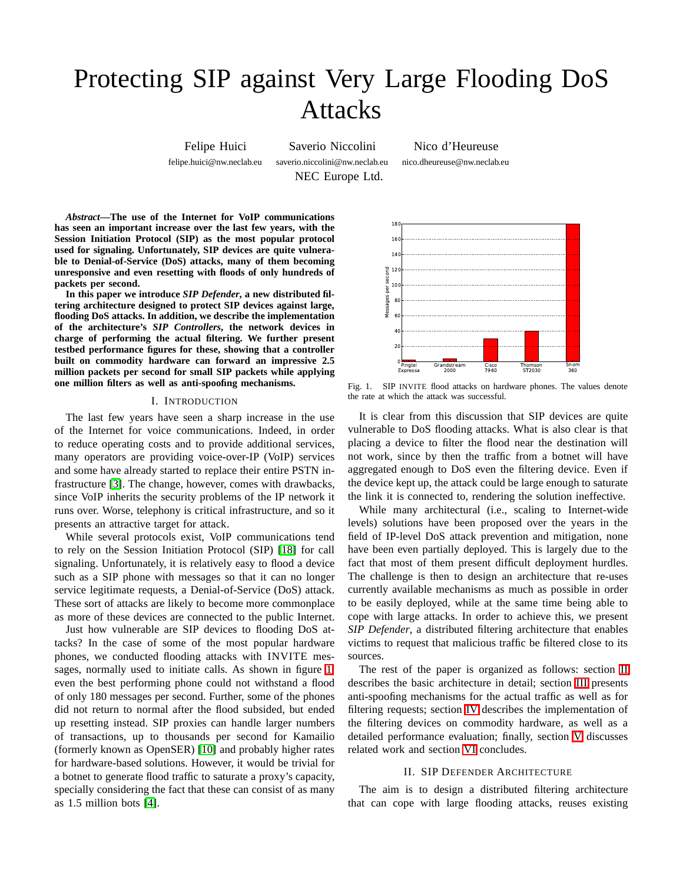# Protecting SIP against Very Large Flooding DoS Attacks

Felipe Huici Saverio Niccolini Nico d'Heureuse felipe.huici@nw.neclab.eu saverio.niccolini@nw.neclab.eu nico.dheureuse@nw.neclab.eu

NEC Europe Ltd.

*Abstract***—The use of the Internet for VoIP communications has seen an important increase over the last few years, with the Session Initiation Protocol (SIP) as the most popular protocol used for signaling. Unfortunately, SIP devices are quite vulnerable to Denial-of-Service (DoS) attacks, many of them becoming unresponsive and even resetting with floods of only hundreds of packets per second.**

**In this paper we introduce** *SIP Defender***, a new distributed filtering architecture designed to protect SIP devices against large, flooding DoS attacks. In addition, we describe the implementation of the architecture's** *SIP Controllers***, the network devices in charge of performing the actual filtering. We further present testbed performance figures for these, showing that a controller built on commodity hardware can forward an impressive 2.5 million packets per second for small SIP packets while applying one million filters as well as anti-spoofing mechanisms.**

### I. INTRODUCTION

The last few years have seen a sharp increase in the use of the Internet for voice communications. Indeed, in order to reduce operating costs and to provide additional services, many operators are providing voice-over-IP (VoIP) services and some have already started to replace their entire PSTN infrastructure [\[3\]](#page-5-0). The change, however, comes with drawbacks, since VoIP inherits the security problems of the IP network it runs over. Worse, telephony is critical infrastructure, and so it presents an attractive target for attack.

While several protocols exist, VoIP communications tend to rely on the Session Initiation Protocol (SIP) [\[18\]](#page-5-1) for call signaling. Unfortunately, it is relatively easy to flood a device such as a SIP phone with messages so that it can no longer service legitimate requests, a Denial-of-Service (DoS) attack. These sort of attacks are likely to become more commonplace as more of these devices are connected to the public Internet.

Just how vulnerable are SIP devices to flooding DoS attacks? In the case of some of the most popular hardware phones, we conducted flooding attacks with INVITE messages, normally used to initiate calls. As shown in figure [1,](#page-0-0) even the best performing phone could not withstand a flood of only 180 messages per second. Further, some of the phones did not return to normal after the flood subsided, but ended up resetting instead. SIP proxies can handle larger numbers of transactions, up to thousands per second for Kamailio (formerly known as OpenSER) [\[10\]](#page-5-2) and probably higher rates for hardware-based solutions. However, it would be trivial for a botnet to generate flood traffic to saturate a proxy's capacity, specially considering the fact that these can consist of as many as 1.5 million bots [\[4\]](#page-5-3).



<span id="page-0-0"></span>Fig. 1. SIP INVITE flood attacks on hardware phones. The values denote the rate at which the attack was successful.

It is clear from this discussion that SIP devices are quite vulnerable to DoS flooding attacks. What is also clear is that placing a device to filter the flood near the destination will not work, since by then the traffic from a botnet will have aggregated enough to DoS even the filtering device. Even if the device kept up, the attack could be large enough to saturate the link it is connected to, rendering the solution ineffective.

While many architectural (i.e., scaling to Internet-wide levels) solutions have been proposed over the years in the field of IP-level DoS attack prevention and mitigation, none have been even partially deployed. This is largely due to the fact that most of them present difficult deployment hurdles. The challenge is then to design an architecture that re-uses currently available mechanisms as much as possible in order to be easily deployed, while at the same time being able to cope with large attacks. In order to achieve this, we present *SIP Defender*, a distributed filtering architecture that enables victims to request that malicious traffic be filtered close to its sources.

The rest of the paper is organized as follows: section [II](#page-0-1) describes the basic architecture in detail; section [III](#page-2-0) presents anti-spoofing mechanisms for the actual traffic as well as for filtering requests; section [IV](#page-3-0) describes the implementation of the filtering devices on commodity hardware, as well as a detailed performance evaluation; finally, section [V](#page-5-4) discusses related work and section [VI](#page-5-5) concludes.

# II. SIP DEFENDER ARCHITECTURE

<span id="page-0-1"></span>The aim is to design a distributed filtering architecture that can cope with large flooding attacks, reuses existing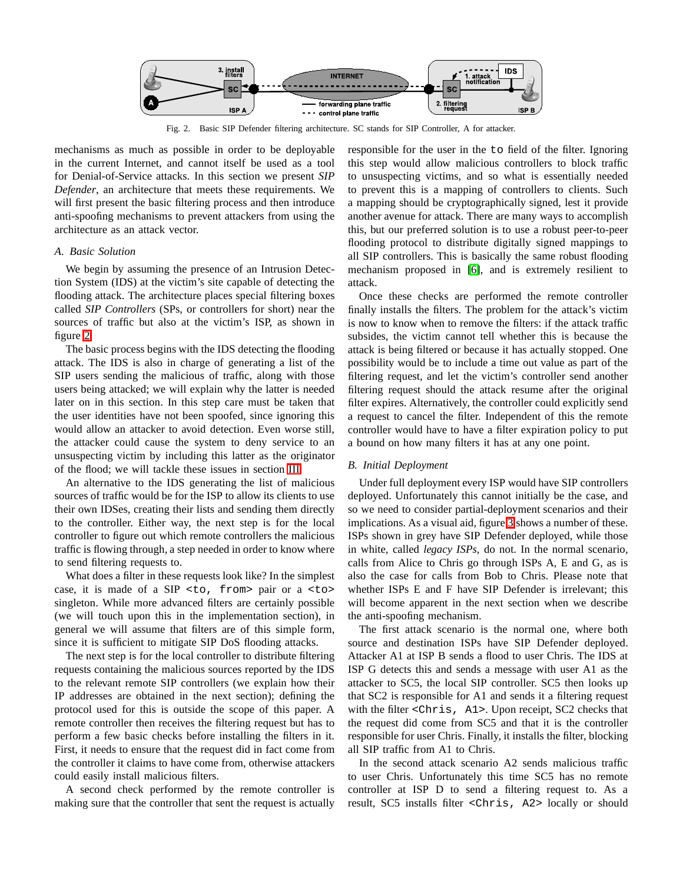

<span id="page-1-0"></span>Fig. 2. Basic SIP Defender filtering architecture. SC stands for SIP Controller, A for attacker.

mechanisms as much as possible in order to be deployable in the current Internet, and cannot itself be used as a tool for Denial-of-Service attacks. In this section we present *SIP Defender*, an architecture that meets these requirements. We will first present the basic filtering process and then introduce anti-spoofing mechanisms to prevent attackers from using the architecture as an attack vector.

# *A. Basic Solution*

We begin by assuming the presence of an Intrusion Detection System (IDS) at the victim's site capable of detecting the flooding attack. The architecture places special filtering boxes called *SIP Controllers* (SPs, or controllers for short) near the sources of traffic but also at the victim's ISP, as shown in figure [2.](#page-1-0)

The basic process begins with the IDS detecting the flooding attack. The IDS is also in charge of generating a list of the SIP users sending the malicious of traffic, along with those users being attacked; we will explain why the latter is needed later on in this section. In this step care must be taken that the user identities have not been spoofed, since ignoring this would allow an attacker to avoid detection. Even worse still, the attacker could cause the system to deny service to an unsuspecting victim by including this latter as the originator of the flood; we will tackle these issues in section [III.](#page-2-0)

An alternative to the IDS generating the list of malicious sources of traffic would be for the ISP to allow its clients to use their own IDSes, creating their lists and sending them directly to the controller. Either way, the next step is for the local controller to figure out which remote controllers the malicious traffic is flowing through, a step needed in order to know where to send filtering requests to.

What does a filter in these requests look like? In the simplest case, it is made of a SIP <to, from> pair or a <to> singleton. While more advanced filters are certainly possible (we will touch upon this in the implementation section), in general we will assume that filters are of this simple form, since it is sufficient to mitigate SIP DoS flooding attacks.

The next step is for the local controller to distribute filtering requests containing the malicious sources reported by the IDS to the relevant remote SIP controllers (we explain how their IP addresses are obtained in the next section); defining the protocol used for this is outside the scope of this paper. A remote controller then receives the filtering request but has to perform a few basic checks before installing the filters in it. First, it needs to ensure that the request did in fact come from the controller it claims to have come from, otherwise attackers could easily install malicious filters.

A second check performed by the remote controller is making sure that the controller that sent the request is actually responsible for the user in the to field of the filter. Ignoring this step would allow malicious controllers to block traffic to unsuspecting victims, and so what is essentially needed to prevent this is a mapping of controllers to clients. Such a mapping should be cryptographically signed, lest it provide another avenue for attack. There are many ways to accomplish this, but our preferred solution is to use a robust peer-to-peer flooding protocol to distribute digitally signed mappings to all SIP controllers. This is basically the same robust flooding mechanism proposed in [\[6\]](#page-5-6), and is extremely resilient to attack.

Once these checks are performed the remote controller finally installs the filters. The problem for the attack's victim is now to know when to remove the filters: if the attack traffic subsides, the victim cannot tell whether this is because the attack is being filtered or because it has actually stopped. One possibility would be to include a time out value as part of the filtering request, and let the victim's controller send another filtering request should the attack resume after the original filter expires. Alternatively, the controller could explicitly send a request to cancel the filter. Independent of this the remote controller would have to have a filter expiration policy to put a bound on how many filters it has at any one point.

# *B. Initial Deployment*

Under full deployment every ISP would have SIP controllers deployed. Unfortunately this cannot initially be the case, and so we need to consider partial-deployment scenarios and their implications. As a visual aid, figure [3](#page-2-1) shows a number of these. ISPs shown in grey have SIP Defender deployed, while those in white, called *legacy ISPs*, do not. In the normal scenario, calls from Alice to Chris go through ISPs A, E and G, as is also the case for calls from Bob to Chris. Please note that whether ISPs E and F have SIP Defender is irrelevant; this will become apparent in the next section when we describe the anti-spoofing mechanism.

The first attack scenario is the normal one, where both source and destination ISPs have SIP Defender deployed. Attacker A1 at ISP B sends a flood to user Chris. The IDS at ISP G detects this and sends a message with user A1 as the attacker to SC5, the local SIP controller. SC5 then looks up that SC2 is responsible for A1 and sends it a filtering request with the filter <Chris, A1>. Upon receipt, SC2 checks that the request did come from SC5 and that it is the controller responsible for user Chris. Finally, it installs the filter, blocking all SIP traffic from A1 to Chris.

In the second attack scenario A2 sends malicious traffic to user Chris. Unfortunately this time SC5 has no remote controller at ISP D to send a filtering request to. As a result, SC5 installs filter <Chris, A2> locally or should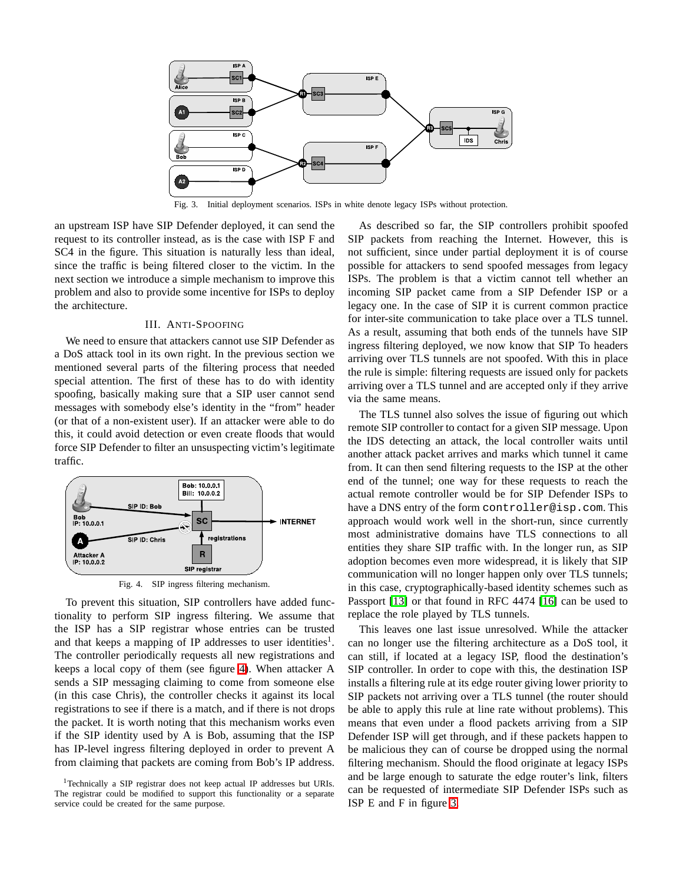

<span id="page-2-1"></span>Fig. 3. Initial deployment scenarios. ISPs in white denote legacy ISPs without protection.

an upstream ISP have SIP Defender deployed, it can send the request to its controller instead, as is the case with ISP F and SC4 in the figure. This situation is naturally less than ideal, since the traffic is being filtered closer to the victim. In the next section we introduce a simple mechanism to improve this problem and also to provide some incentive for ISPs to deploy the architecture.

## III. ANTI-SPOOFING

<span id="page-2-0"></span>We need to ensure that attackers cannot use SIP Defender as a DoS attack tool in its own right. In the previous section we mentioned several parts of the filtering process that needed special attention. The first of these has to do with identity spoofing, basically making sure that a SIP user cannot send messages with somebody else's identity in the "from" header (or that of a non-existent user). If an attacker were able to do this, it could avoid detection or even create floods that would force SIP Defender to filter an unsuspecting victim's legitimate traffic.



Fig. 4. SIP ingress filtering mechanism.

<span id="page-2-2"></span>To prevent this situation, SIP controllers have added functionality to perform SIP ingress filtering. We assume that the ISP has a SIP registrar whose entries can be trusted and that keeps a mapping of IP addresses to user identities<sup>1</sup>. The controller periodically requests all new registrations and keeps a local copy of them (see figure [4\)](#page-2-2). When attacker A sends a SIP messaging claiming to come from someone else (in this case Chris), the controller checks it against its local registrations to see if there is a match, and if there is not drops the packet. It is worth noting that this mechanism works even if the SIP identity used by A is Bob, assuming that the ISP has IP-level ingress filtering deployed in order to prevent A from claiming that packets are coming from Bob's IP address.

As described so far, the SIP controllers prohibit spoofed SIP packets from reaching the Internet. However, this is not sufficient, since under partial deployment it is of course possible for attackers to send spoofed messages from legacy ISPs. The problem is that a victim cannot tell whether an incoming SIP packet came from a SIP Defender ISP or a legacy one. In the case of SIP it is current common practice for inter-site communication to take place over a TLS tunnel. As a result, assuming that both ends of the tunnels have SIP ingress filtering deployed, we now know that SIP To headers arriving over TLS tunnels are not spoofed. With this in place the rule is simple: filtering requests are issued only for packets arriving over a TLS tunnel and are accepted only if they arrive via the same means.

The TLS tunnel also solves the issue of figuring out which remote SIP controller to contact for a given SIP message. Upon the IDS detecting an attack, the local controller waits until another attack packet arrives and marks which tunnel it came from. It can then send filtering requests to the ISP at the other end of the tunnel; one way for these requests to reach the actual remote controller would be for SIP Defender ISPs to have a DNS entry of the form controller@isp.com. This approach would work well in the short-run, since currently most administrative domains have TLS connections to all entities they share SIP traffic with. In the longer run, as SIP adoption becomes even more widespread, it is likely that SIP communication will no longer happen only over TLS tunnels; in this case, cryptographically-based identity schemes such as Passport [\[13\]](#page-5-7) or that found in RFC 4474 [\[16\]](#page-5-8) can be used to replace the role played by TLS tunnels.

This leaves one last issue unresolved. While the attacker can no longer use the filtering architecture as a DoS tool, it can still, if located at a legacy ISP, flood the destination's SIP controller. In order to cope with this, the destination ISP installs a filtering rule at its edge router giving lower priority to SIP packets not arriving over a TLS tunnel (the router should be able to apply this rule at line rate without problems). This means that even under a flood packets arriving from a SIP Defender ISP will get through, and if these packets happen to be malicious they can of course be dropped using the normal filtering mechanism. Should the flood originate at legacy ISPs and be large enough to saturate the edge router's link, filters can be requested of intermediate SIP Defender ISPs such as ISP E and F in figure [3.](#page-2-1)

<sup>&</sup>lt;sup>1</sup>Technically a SIP registrar does not keep actual IP addresses but URIs. The registrar could be modified to support this functionality or a separate service could be created for the same purpose.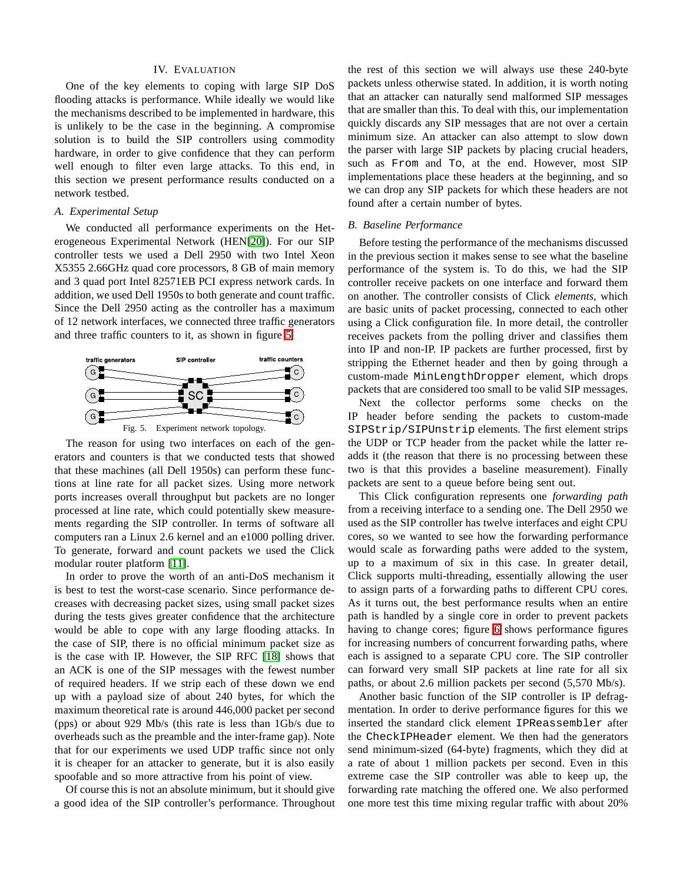### IV. EVALUATION

<span id="page-3-0"></span>One of the key elements to coping with large SIP DoS flooding attacks is performance. While ideally we would like the mechanisms described to be implemented in hardware, this is unlikely to be the case in the beginning. A compromise solution is to build the SIP controllers using commodity hardware, in order to give confidence that they can perform well enough to filter even large attacks. To this end, in this section we present performance results conducted on a network testbed.

## *A. Experimental Setup*

We conducted all performance experiments on the Heterogeneous Experimental Network (HEN[\[20\]](#page-5-9)). For our SIP controller tests we used a Dell 2950 with two Intel Xeon X5355 2.66GHz quad core processors, 8 GB of main memory and 3 quad port Intel 82571EB PCI express network cards. In addition, we used Dell 1950s to both generate and count traffic. Since the Dell 2950 acting as the controller has a maximum of 12 network interfaces, we connected three traffic generators and three traffic counters to it, as shown in figure [5.](#page-3-1)



<span id="page-3-1"></span>The reason for using two interfaces on each of the generators and counters is that we conducted tests that showed that these machines (all Dell 1950s) can perform these functions at line rate for all packet sizes. Using more network ports increases overall throughput but packets are no longer processed at line rate, which could potentially skew measurements regarding the SIP controller. In terms of software all computers ran a Linux 2.6 kernel and an e1000 polling driver. To generate, forward and count packets we used the Click modular router platform [\[11\]](#page-5-10).

In order to prove the worth of an anti-DoS mechanism it is best to test the worst-case scenario. Since performance decreases with decreasing packet sizes, using small packet sizes during the tests gives greater confidence that the architecture would be able to cope with any large flooding attacks. In the case of SIP, there is no official minimum packet size as is the case with IP. However, the SIP RFC [\[18\]](#page-5-1) shows that an ACK is one of the SIP messages with the fewest number of required headers. If we strip each of these down we end up with a payload size of about 240 bytes, for which the maximum theoretical rate is around 446,000 packet per second (pps) or about 929 Mb/s (this rate is less than 1Gb/s due to overheads such as the preamble and the inter-frame gap). Note that for our experiments we used UDP traffic since not only it is cheaper for an attacker to generate, but it is also easily spoofable and so more attractive from his point of view.

Of course this is not an absolute minimum, but it should give a good idea of the SIP controller's performance. Throughout the rest of this section we will always use these 240-byte packets unless otherwise stated. In addition, it is worth noting that an attacker can naturally send malformed SIP messages that are smaller than this. To deal with this, our implementation quickly discards any SIP messages that are not over a certain minimum size. An attacker can also attempt to slow down the parser with large SIP packets by placing crucial headers, such as From and To, at the end. However, most SIP implementations place these headers at the beginning, and so we can drop any SIP packets for which these headers are not found after a certain number of bytes.

## *B. Baseline Performance*

Before testing the performance of the mechanisms discussed in the previous section it makes sense to see what the baseline performance of the system is. To do this, we had the SIP controller receive packets on one interface and forward them on another. The controller consists of Click *elements*, which are basic units of packet processing, connected to each other using a Click configuration file. In more detail, the controller receives packets from the polling driver and classifies them into IP and non-IP. IP packets are further processed, first by stripping the Ethernet header and then by going through a custom-made MinLengthDropper element, which drops packets that are considered too small to be valid SIP messages.

Next the collector performs some checks on the IP header before sending the packets to custom-made SIPStrip/SIPUnstrip elements. The first element strips the UDP or TCP header from the packet while the latter readds it (the reason that there is no processing between these two is that this provides a baseline measurement). Finally packets are sent to a queue before being sent out.

This Click configuration represents one *forwarding path* from a receiving interface to a sending one. The Dell 2950 we used as the SIP controller has twelve interfaces and eight CPU cores, so we wanted to see how the forwarding performance would scale as forwarding paths were added to the system, up to a maximum of six in this case. In greater detail, Click supports multi-threading, essentially allowing the user to assign parts of a forwarding paths to different CPU cores. As it turns out, the best performance results when an entire path is handled by a single core in order to prevent packets having to change cores; figure [6](#page-4-0) shows performance figures for increasing numbers of concurrent forwarding paths, where each is assigned to a separate CPU core. The SIP controller can forward very small SIP packets at line rate for all six paths, or about 2.6 million packets per second (5,570 Mb/s).

Another basic function of the SIP controller is IP defragmentation. In order to derive performance figures for this we inserted the standard click element IPReassembler after the CheckIPHeader element. We then had the generators send minimum-sized (64-byte) fragments, which they did at a rate of about 1 million packets per second. Even in this extreme case the SIP controller was able to keep up, the forwarding rate matching the offered one. We also performed one more test this time mixing regular traffic with about 20%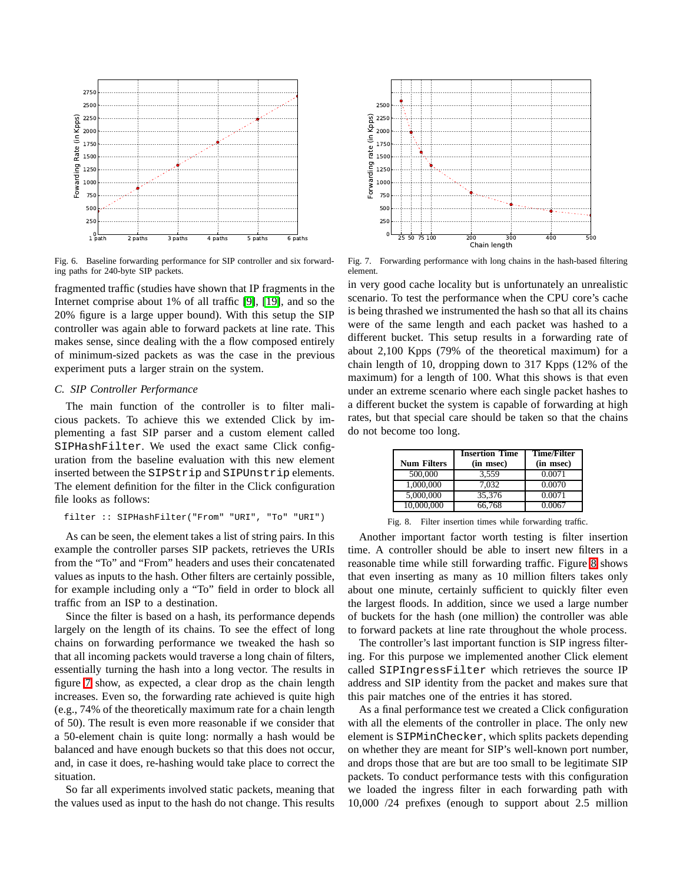

<span id="page-4-0"></span>Fig. 6. Baseline forwarding performance for SIP controller and six forwarding paths for 240-byte SIP packets.

fragmented traffic (studies have shown that IP fragments in the Internet comprise about 1% of all traffic [\[9\]](#page-5-11), [\[19\]](#page-5-12), and so the 20% figure is a large upper bound). With this setup the SIP controller was again able to forward packets at line rate. This makes sense, since dealing with the a flow composed entirely of minimum-sized packets as was the case in the previous experiment puts a larger strain on the system.

# *C. SIP Controller Performance*

The main function of the controller is to filter malicious packets. To achieve this we extended Click by implementing a fast SIP parser and a custom element called SIPHashFilter. We used the exact same Click configuration from the baseline evaluation with this new element inserted between the SIPStrip and SIPUnstrip elements. The element definition for the filter in the Click configuration file looks as follows:

```
filter :: SIPHashFilter("From" "URI", "To" "URI")
```
As can be seen, the element takes a list of string pairs. In this example the controller parses SIP packets, retrieves the URIs from the "To" and "From" headers and uses their concatenated values as inputs to the hash. Other filters are certainly possible, for example including only a "To" field in order to block all traffic from an ISP to a destination.

Since the filter is based on a hash, its performance depends largely on the length of its chains. To see the effect of long chains on forwarding performance we tweaked the hash so that all incoming packets would traverse a long chain of filters, essentially turning the hash into a long vector. The results in figure [7](#page-4-1) show, as expected, a clear drop as the chain length increases. Even so, the forwarding rate achieved is quite high (e.g., 74% of the theoretically maximum rate for a chain length of 50). The result is even more reasonable if we consider that a 50-element chain is quite long: normally a hash would be balanced and have enough buckets so that this does not occur, and, in case it does, re-hashing would take place to correct the situation.

So far all experiments involved static packets, meaning that the values used as input to the hash do not change. This results



<span id="page-4-1"></span>Fig. 7. Forwarding performance with long chains in the hash-based filtering element.

in very good cache locality but is unfortunately an unrealistic scenario. To test the performance when the CPU core's cache is being thrashed we instrumented the hash so that all its chains were of the same length and each packet was hashed to a different bucket. This setup results in a forwarding rate of about 2,100 Kpps (79% of the theoretical maximum) for a chain length of 10, dropping down to 317 Kpps (12% of the maximum) for a length of 100. What this shows is that even under an extreme scenario where each single packet hashes to a different bucket the system is capable of forwarding at high rates, but that special care should be taken so that the chains do not become too long.

| <b>Num Filters</b> | <b>Insertion Time</b><br>(in msec) | <b>Time/Filter</b><br>(in msec) |
|--------------------|------------------------------------|---------------------------------|
| 500,000            | 3.559                              | 0.0071                          |
| 1,000,000          | 7.032                              | 0.0070                          |
| 5,000,000          | 35,376                             | 0.0071                          |
| 10,000,000         | 66.768                             | 0.0067                          |

Fig. 8. Filter insertion times while forwarding traffic.

<span id="page-4-2"></span>Another important factor worth testing is filter insertion time. A controller should be able to insert new filters in a reasonable time while still forwarding traffic. Figure [8](#page-4-2) shows that even inserting as many as 10 million filters takes only about one minute, certainly sufficient to quickly filter even the largest floods. In addition, since we used a large number of buckets for the hash (one million) the controller was able to forward packets at line rate throughout the whole process.

The controller's last important function is SIP ingress filtering. For this purpose we implemented another Click element called SIPIngressFilter which retrieves the source IP address and SIP identity from the packet and makes sure that this pair matches one of the entries it has stored.

As a final performance test we created a Click configuration with all the elements of the controller in place. The only new element is SIPMinChecker, which splits packets depending on whether they are meant for SIP's well-known port number, and drops those that are but are too small to be legitimate SIP packets. To conduct performance tests with this configuration we loaded the ingress filter in each forwarding path with 10,000 /24 prefixes (enough to support about 2.5 million